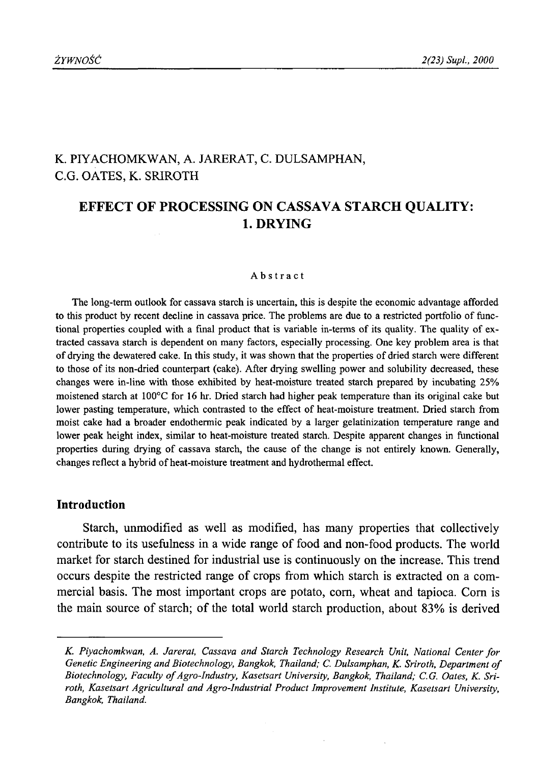## K. PIYACHOMKWAN, A. JARERAT, C. DULSAMPHAN, C.G. OATES, K. SRIROTH

# **EFFECT OF PROCESSING ON CASSAVA STARCH QUALITY: 1. DRYING**

#### Abstract

The long-term outlook for cassava starch is uncertain, this is despite the economic advantage afforded to this product by recent decline in cassava price. The problems are due to a restricted portfolio of functional properties coupled with a final product that is variable in-terms of its quality. The quality of extracted cassava starch is dependent on many factors, especially processing. One key problem area is that of drying the dewatered cake. In this study, it was shown that the properties of dried starch were different to those of its non-dried counterpart (cake). After drying swelling power and solubility decreased, these changes were in-line with those exhibited by heat-moisture treated starch prepared by incubating 25% moistened starch at 100°C for 16 hr. Dried starch had higher peak temperature than its original cake but lower pasting temperature, which contrasted to the effect of heat-moisture treatment. Dried starch from moist cake had a broader endothermic peak indicated by a larger gelatinization temperature range and lower peak height index, similar to heat-moisture treated starch. Despite apparent changes in functional properties during drying of cassava starch, the cause of the change is not entirely known. Generally, changes reflect a hybrid of heat-moisture treatment and hydrothermal effect.

## **Introduction**

Starch, unmodified as well as modified, has many properties that collectively contribute to its usefulness in a wide range of food and non-food products. The world market for starch destined for industrial use is continuously on the increase. This trend occurs despite the restricted range of crops from which starch is extracted on a commercial basis. The most important crops are potato, com, wheat and tapioca. Com is the main source of starch; of the total world starch production, about 83% is derived

*K. Piyachomkwan, A. Jarerat, Cassava and Starch Technology Research Unit, National Center for* Genetic Engineering and Biotechnology, Bangkok, Thailand; C. Dulsamphan, K. Sriroth, Department of Biotechnology, Faculty of Agro-Industry, Kasetsart University, Bangkok, Thailand; C.G. Oates, K. Sri*roth, Kasetsart Agricultural and Agro-Industrial Product Improvement Institute, Kasetsart University, Bangkok, Thailand.*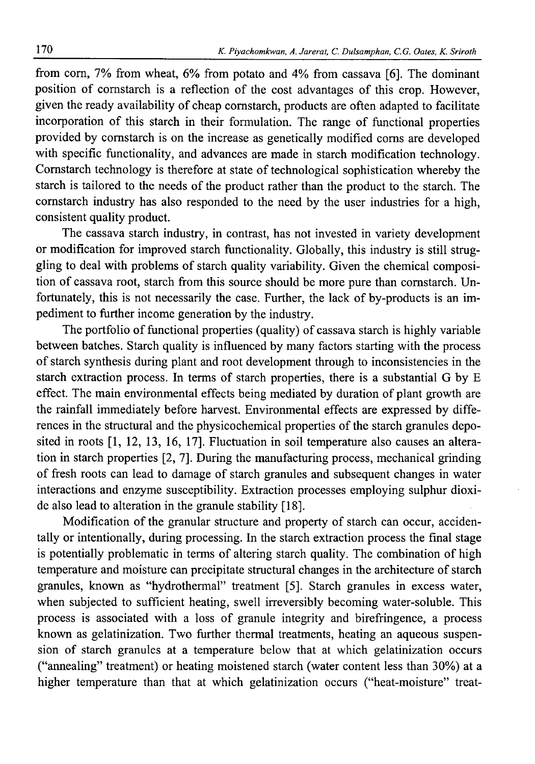from com, 7% from wheat, 6% from potato and *4%* from cassava [6]. The dominant position of cornstarch is a reflection of the cost advantages of this crop. However, given the ready availability of cheap cornstarch, products are often adapted to facilitate incorporation of this starch in their formulation. The range of functional properties provided by cornstarch is on the increase as genetically modified corns are developed with specific functionality, and advances are made in starch modification technology. Cornstarch technology is therefore at state of technological sophistication whereby the starch is tailored to the needs of the product rather than the product to the starch. The cornstarch industry has also responded to the need by the user industries for a high, consistent quality product.

The cassava starch industry, in contrast, has not invested in variety development or modification for improved starch functionality. Globally, this industry is still struggling to deal with problems of starch quality variability. Given the chemical composition of cassava root, starch from this source should be more pure than cornstarch. Unfortunately, this is not necessarily the case. Further, the lack of by-products is an impediment to further income generation by the industry.

The portfolio of functional properties (quality) of cassava starch is highly variable between batches. Starch quality is influenced by many factors starting with the process of starch synthesis during plant and root development through to inconsistencies in the starch extraction process. In terms of starch properties, there is a substantial G by E effect. The main environmental effects being mediated by duration of plant growth are the rainfall immediately before harvest. Environmental effects are expressed by differences in the structural and the physicochemical properties of the starch granules deposited in roots [1, 12, 13, 16, 17]. Fluctuation in soil temperature also causes an alteration in starch properties [2, 7]. During the manufacturing process, mechanical grinding of fresh roots can lead to damage of starch granules and subsequent changes in water interactions and enzyme susceptibility. Extraction processes employing sulphur dioxide also lead to alteration in the granule stability [18].

Modification of the granular structure and property of starch can occur, accidentally or intentionally, during processing. In the starch extraction process the final stage is potentially problematic in terms of altering starch quality. The combination of high temperature and moisture can precipitate structural changes in the architecture of starch granules, known as "hydrothermal" treatment [5]. Starch granules in excess water, when subjected to sufficient heating, swell irreversibly becoming water-soluble. This process is associated with a loss of granule integrity and birefringence, a process known as gelatinization. Two further thermal treatments, heating an aqueous suspension of starch granules at a temperature below that at which gelatinization occurs ("annealing" treatment) or heating moistened starch (water content less than 30%) at a higher temperature than that at which gelatinization occurs ("heat-moisture" treat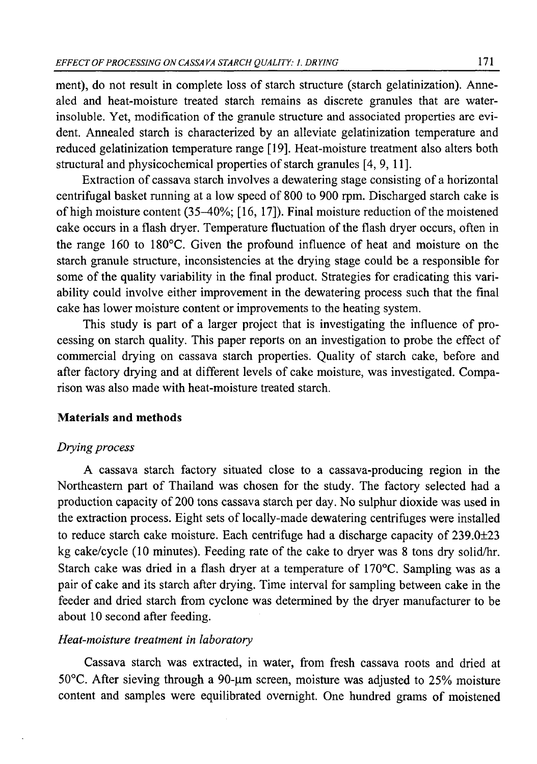ment), do not result in complete loss of starch structure (starch gelatinization). Annealed and heat-moisture treated starch remains as discrete granules that are waterinsoluble. Yet, modification of the granule structure and associated properties are evident. Annealed starch is characterized by an alleviate gelatinization temperature and reduced gelatinization temperature range [19]. Heat-moisture treatment also alters both structural and physicochemical properties of starch granules [4, 9, 11].

Extraction of cassava starch involves a dewatering stage consisting of a horizontal centrifugal basket running at a low speed of 800 to 900 rpm. Discharged starch cake is of high moisture content (35-40%; [16, 17]). Final moisture reduction of the moistened cake occurs in a flash dryer. Temperature fluctuation of the flash dryer occurs, often in the range 160 to 180°C. Given the profound influence of heat and moisture on the starch granule structure, inconsistencies at the drying stage could be a responsible for some of the quality variability in the final product. Strategies for eradicating this variability could involve either improvement in the dewatering process such that the final cake has lower moisture content or improvements to the heating system.

This study is part of a larger project that is investigating the influence of processing on starch quality. This paper reports on an investigation to probe the effect of commercial drying on cassava starch properties. Quality of starch cake, before and after factory drying and at different levels of cake moisture, was investigated. Comparison was also made with heat-moisture treated starch.

## **Materials and methods**

## *Drying process*

A cassava starch factory situated close to a cassava-producing region in the Northeastern part of Thailand was chosen for the study. The factory selected had a production capacity of 200 tons cassava starch per day. No sulphur dioxide was used in the extraction process. Eight sets of locally-made dewatering centrifuges were installed to reduce starch cake moisture. Each centrifuge had a discharge capacity of 239.0±23 kg cake/cycle (10 minutes). Feeding rate of the cake to dryer was 8 tons dry solid/hr. Starch cake was dried in a flash dryer at a temperature of 170°C. Sampling was as a pair of cake and its starch after drying. Time interval for sampling between cake in the feeder and dried starch from cyclone was determined by the dryer manufacturer to be about 10 second after feeding.

## *Heat-moisture treatment in laboratory*

Cassava starch was extracted, in water, from fresh cassava roots and dried at 50 $^{\circ}$ C. After sieving through a 90-µm screen, moisture was adjusted to 25% moisture content and samples were equilibrated overnight. One hundred grams of moistened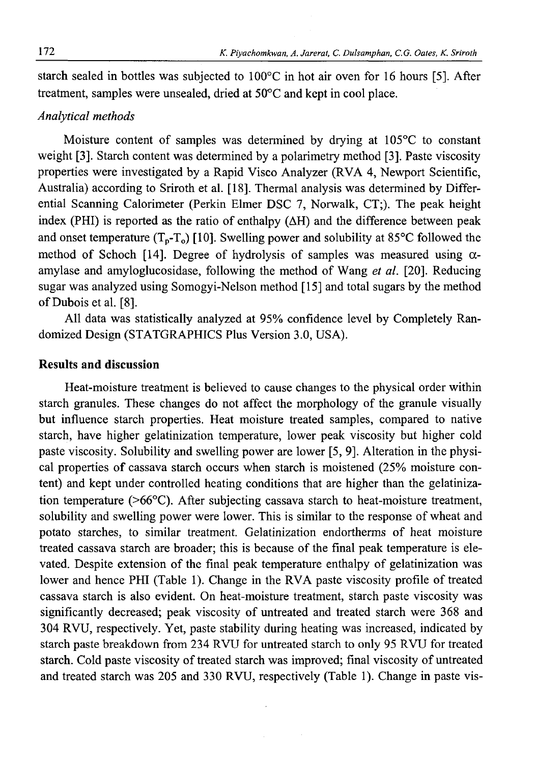starch sealed in bottles was subjected to 100°C in hot air oven for 16 hours [5]. After treatment, samples were unsealed, dried at 50°C and kept in cool place.

## *Analytical methods*

Moisture content of samples was determined by drying at 105°C to constant weight [3]. Starch content was determined by a polarimetry method [3]. Paste viscosity properties were investigated by a Rapid Visco Analyzer (RVA 4, Newport Scientific, Australia) according to Sriroth et al. [18]. Thermal analysis was determined by Differential Scanning Calorimeter (Perkin Elmer DSC 7, Norwalk, CT;). The peak height index (PHI) is reported as the ratio of enthalpy  $(\Delta H)$  and the difference between peak and onset temperature  $(T_p-T_q)$  [10]. Swelling power and solubility at 85<sup>o</sup>C followed the method of Schoch [14]. Degree of hydrolysis of samples was measured using *a*amylase and amyloglucosidase, following the method of Wang *et al.* [20]. Reducing sugar was analyzed using Somogyi-Nelson method [15] and total sugars by the method of Dubois et al. [8].

All data was statistically analyzed at 95% confidence level by Completely Randomized Design (STATGRAPHICS Plus Version 3.0, USA).

## **Results and discussion**

Heat-moisture treatment is believed to cause changes to the physical order within starch granules. These changes do not affect the morphology of the granule visually but influence starch properties. Heat moisture treated samples, compared to native starch, have higher gelatinization temperature, lower peak viscosity but higher cold paste viscosity. Solubility and swelling power are lower [5, 9]. Alteration in the physical properties of cassava starch occurs when starch is moistened (25% moisture content) and kept under controlled heating conditions that are higher than the gelatinization temperature  $(56^{\circ}C)$ . After subjecting cassava starch to heat-moisture treatment, solubility and swelling power were lower. This is similar to the response of wheat and potato starches, to similar treatment. Gelatinization endortherms of heat moisture treated cassava starch are broader; this is because of the final peak temperature is elevated. Despite extension of the final peak temperature enthalpy of gelatinization was lower and hence PHI (Table 1). Change in the RVA paste viscosity profile of treated cassava starch is also evident. On heat-moisture treatment, starch paste viscosity was significantly decreased; peak viscosity of untreated and treated starch were 368 and 304 RVU, respectively. Yet, paste stability during heating was increased, indicated by starch paste breakdown from 234 RVU for untreated starch to only 95 RVU for treated starch. Cold paste viscosity of treated starch was improved; final viscosity of untreated and treated starch was 205 and 330 RVU, respectively (Table 1). Change in paste vis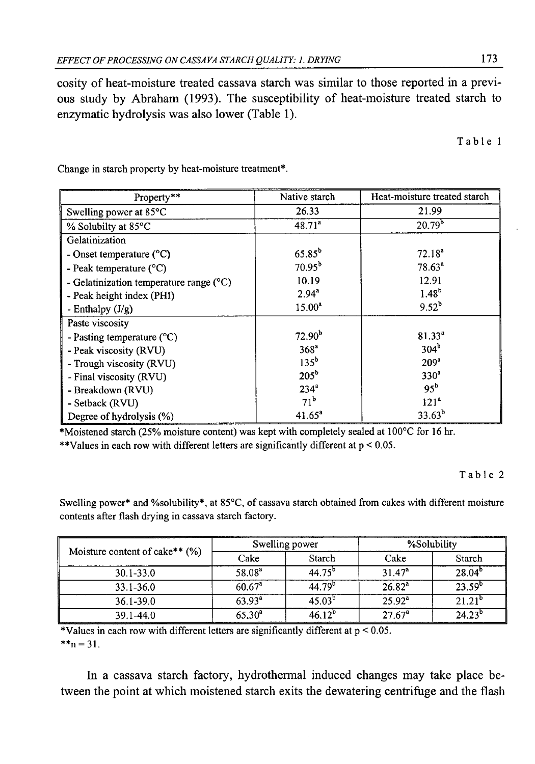cosity of heat-moisture treated cassava starch was similar to those reported in a previous study by Abraham (1993). The susceptibility of heat-moisture treated starch to enzymatic hydrolysis was also lower (Table 1).

Table 1

| Property**                                | Native starch      | Heat-moisture treated starch |  |  |
|-------------------------------------------|--------------------|------------------------------|--|--|
| Swelling power at 85 <sup>o</sup> C       | 26.33              | 21.99                        |  |  |
| % Solubilty at 85°C                       | 48.71 <sup>a</sup> | 20.79 <sup>b</sup>           |  |  |
| Gelatinization                            |                    |                              |  |  |
| - Onset temperature $(^{\circ}C)$         | $65.85^{b}$        | $72.18^a$                    |  |  |
| - Peak temperature $(^{\circ}C)$          | $70.95^{b}$        | $78.63^a$                    |  |  |
| - Gelatinization temperature range $(°C)$ | 10.19              | 12.91                        |  |  |
| - Peak height index (PHI)                 | $2.94^{a}$         | $1.48^{b}$                   |  |  |
| - Enthalpy $(J/g)$                        | $15.00^a$          | $9.52^b$                     |  |  |
| Paste viscosity                           |                    |                              |  |  |
| - Pasting temperature $(^{\circ}C)$       | 72.90 <sup>b</sup> | $81.33^{4}$                  |  |  |
| - Peak viscosity (RVU)                    | 368 <sup>a</sup>   | 304 <sup>b</sup>             |  |  |
| - Trough viscosity (RVU)                  | 135 <sup>b</sup>   | 209 <sup>a</sup>             |  |  |
| - Final viscosity (RVU)                   | $205^{\rm b}$      | 330 <sup>a</sup>             |  |  |
| - Breakdown (RVU)                         | 234 <sup>a</sup>   | $95^b$                       |  |  |
| - Setback (RVU)                           | 71 <sup>b</sup>    | 121 <sup>a</sup>             |  |  |
| Degree of hydrolysis (%)                  | $41.65^a$          | $33.63^b$                    |  |  |

Change in starch property by heat-moisture treatment\*.

\*Moistened starch (25% moisture content) was kept with completely sealed at 100°C for 16 hr.

\*\*Values in each row with different letters are significantly different at  $p < 0.05$ .

Table 2

Swelling power\* and %solubility\*, at 85°C, of cassava starch obtained from cakes with different moisture contents after flash drying in cassava starch factory.

| Moisture content of cake** $(\%)$ |             | Swelling power     | %Solubility        |                    |  |
|-----------------------------------|-------------|--------------------|--------------------|--------------------|--|
|                                   | Cake        | Starch             | Cake               | Starch             |  |
| $30.1 - 33.0$                     | $58.08^{a}$ | $44.75^{b}$        | 31.47 <sup>a</sup> | 28.04 <sup>b</sup> |  |
| 33.1-36.0                         | $60.67^a$   | 44.79 <sup>b</sup> | $26.82^{a}$        | $23.59^{\circ}$    |  |
| $36.1 - 39.0$                     | $63.93^a$   | $45.03^{b}$        | $25.92^a$          | $21.21^{b}$        |  |
| $39.1 - 44.0$                     | $65.30^{a}$ | 46.12 <sup>b</sup> | $27.67^a$          | $24.23^{o}$        |  |

\* Values in each row with different letters are significantly different at  $p < 0.05$ .  $*_{n} = 31$ .

In a cassava starch factory, hydrothermal induced changes may take place between the point at which moistened starch exits the dewatering centrifuge and the flash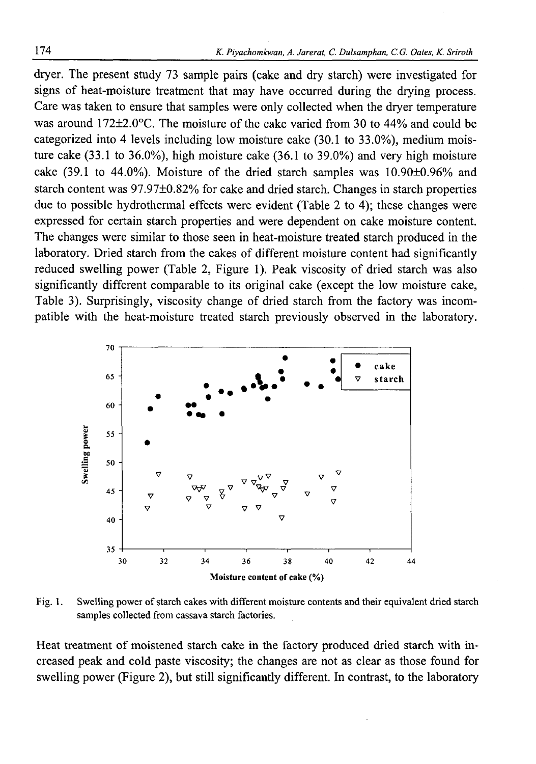dryer. The present study 73 sample pairs (cake and dry starch) were investigated for signs of heat-moisture treatment that may have occurred during the drying process. Care was taken to ensure that samples were only collected when the dryer temperature was around 172±2.0°C. The moisture of the cake varied from 30 to 44% and could be categorized into 4 levels including low moisture cake (30.1 to 33.0%), medium moisture cake (33.1 to 36.0%), high moisture cake (36.1 to 39.0%) and very high moisture cake (39.1 to 44.0%). Moisture of the dried starch samples was 10.90±0.96% and starch content was 97.97±0.82% for cake and dried starch. Changes in starch properties due to possible hydrothermal effects were evident (Table 2 to 4); these changes were expressed for certain starch properties and were dependent on cake moisture content. The changes were similar to those seen in heat-moisture treated starch produced in the laboratory. Dried starch from the cakes of different moisture content had significantly reduced swelling power (Table 2, Figure 1). Peak viscosity of dried starch was also significantly different comparable to its original cake (except the low moisture cake, Table 3). Surprisingly, viscosity change of dried starch from the factory was incompatible with the heat-moisture treated starch previously observed in the laboratory.



Fig. 1. Swelling power of starch cakes with different moisture contents and their equivalent dried starch samples collected from cassava starch factories.

Heat treatment of moistened starch cake in the factory produced dried starch with increased peak and cold paste viscosity; the changes are not as clear as those found for swelling power (Figure 2), but still significantly different. In contrast, to the laboratory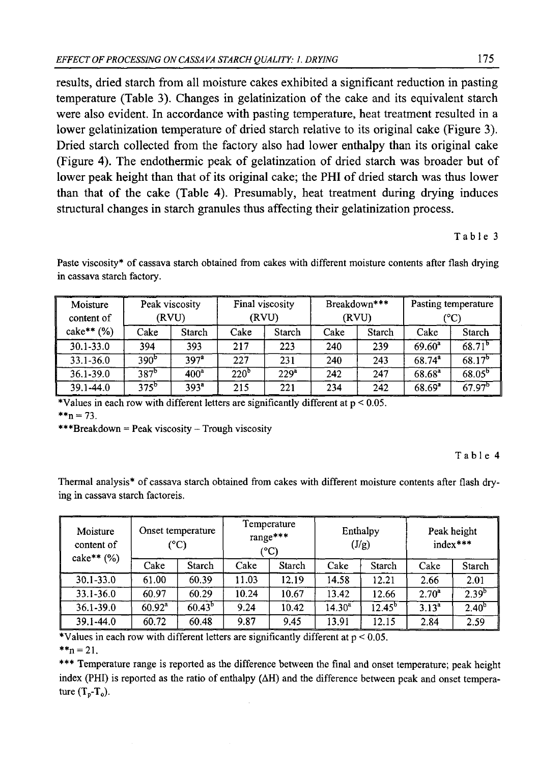results, dried starch from all moisture cakes exhibited a significant reduction in pasting temperature (Table 3). Changes in gelatinization of the cake and its equivalent starch were also evident. In accordance with pasting temperature, heat treatment resulted in a lower gelatinization temperature of dried starch relative to its original cake (Figure 3). Dried starch collected from the factory also had lower enthalpy than its original cake (Figure 4). The endothermic peak of gelatinzation of dried starch was broader but of lower peak height than that of its original cake; the PHI of dried starch was thus lower than that of the cake (Table 4). Presumably, heat treatment during drying induces structural changes in starch granules thus affecting their gelatinization process.

#### Table 3

Paste viscosity\* of cassava starch obtained from cakes with different moisture contents after flash drying in cassava starch factory.

| Moisture            | Peak viscosity   |                  | Final viscosity  |                  | Breakdown*** |        | Pasting temperature |                    |
|---------------------|------------------|------------------|------------------|------------------|--------------|--------|---------------------|--------------------|
| content of          | (RVU)            |                  | (RVU)            |                  | (RVU)        |        | (°C)                |                    |
| $\text{cake**}$ (%) | Cake             | Starch           | Cake             | Starch           | Cake         | Starch | Cake                | Starch             |
| $30.1 - 33.0$       | 394              | 393              | 217              | 223              | 240          | 239    | $69.60^a$           | $68.71^{b}$        |
| 33.1-36.0           | 390 <sup>b</sup> | 397 <sup>2</sup> | 227              | 231              | 240          | 243    | $68.74^{a}$         | $68.17^{b}$        |
| $36.1 - 39.0$       | $387^b$          | 400 <sup>a</sup> | 220 <sup>b</sup> | 229 <sup>a</sup> | 242          | 247    | $68.68^{a}$         | $68.05^{6}$        |
| $39.1 - 44.0$       | $375^{\rm b}$    | $393^a$          | 215              | 221              | 234          | 242    | $68.69^{a}$         | 67.97 <sup>b</sup> |

\*Values in each row with different letters are significantly different at p < 0.05.  $*_{n} = 73$ .

\*\*\* $Breakdown = Peak viscosity - Trough viscosity$ 

#### Table 4

Thermal analysis\* of cassava starch obtained from cakes with different moisture contents after flash drying in cassava starch factoreis.

| Moisture<br>content of<br>$\text{cake**}$ $(\%)$ | Onset temperature<br>(°C) |           | Temperature<br>range***<br>$(^{\circ}C)$ |        | Enthalpy<br>(J/g) |           | Peak height<br>index*** |            |
|--------------------------------------------------|---------------------------|-----------|------------------------------------------|--------|-------------------|-----------|-------------------------|------------|
|                                                  | Cake                      | Starch    | Cake                                     | Starch | Cake              | Starch    | Cake                    | Starch     |
| $30.1 - 33.0$                                    | 61.00                     | 60.39     | 11.03                                    | 12.19  | 14.58             | 12.21     | 2.66                    | 2.01       |
| $33.1 - 36.0$                                    | 60.97                     | 60.29     | 10.24                                    | 10.67  | 13.42             | 12.66     | $2.70^a$                | $2.39^{b}$ |
| $36.1 - 39.0$                                    | $60.92^a$                 | $60.43^b$ | 9.24                                     | 10.42  | $14.30^a$         | $12.45^b$ | $3.13^{a}$              | $2.40^{b}$ |
| $39.1 - 44.0$                                    | 60.72                     | 60.48     | 9.87                                     | 9.45   | 13.91             | 12.15     | 2.84                    | 2.59       |

\*Values in each row with different letters are significantly different at  $p < 0.05$ .

 $*_{n} = 21$ .

\*\*\* Temperature range is reported as the difference between the final and onset temperature; peak height index (PHI) is reported as the ratio of enthalpy  $(\Delta H)$  and the difference between peak and onset temperature  $(T_p-T_q)$ .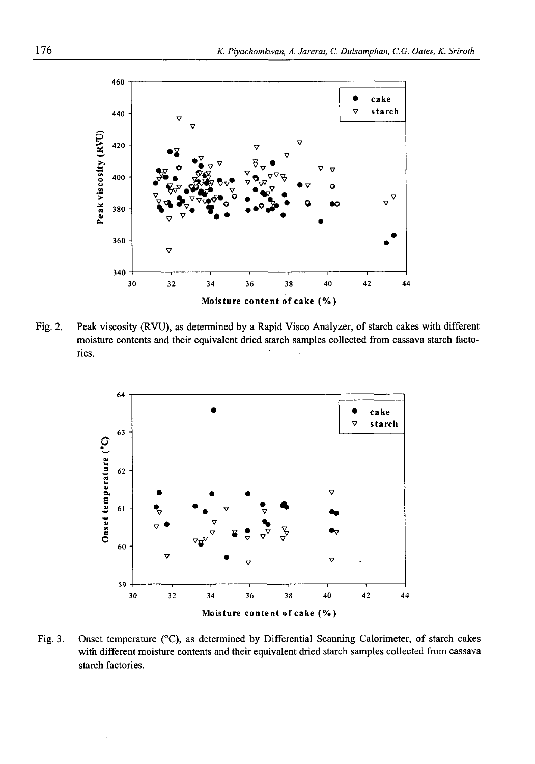

Fig. 2. Peak viscosity (RVU), as determined by a Rapid Visco Analyzer, of starch cakes with different moisture contents and their equivalent dried starch samples collected from cassava starch factories.



Fig. 3. Onset temperature (°C), as determined by Differential Scanning Calorimeter, of starch cakes with different moisture contents and their equivalent dried starch samples collected from cassava starch factories.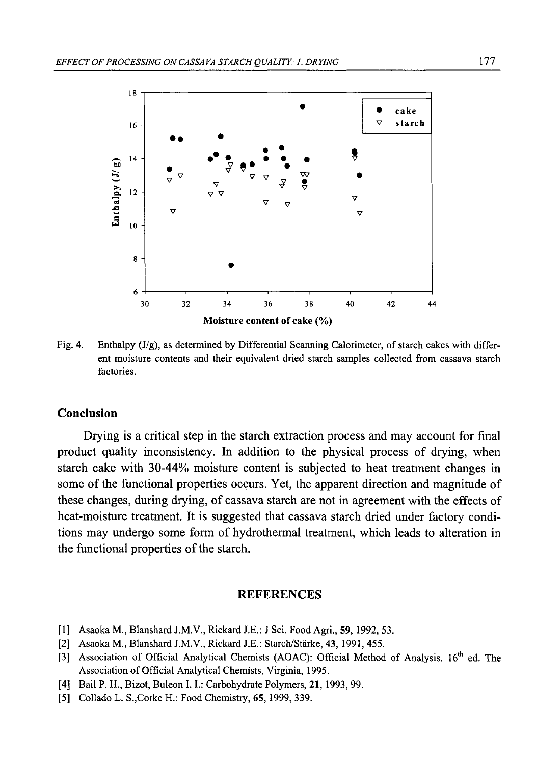

Fig. 4. Enthalpy  $(J/g)$ , as determined by Differential Scanning Calorimeter, of starch cakes with different moisture contents and their equivalent dried starch samples collected from cassava starch factories.

## **Conclusion**

Drying is a critical step in the starch extraction process and may account for final product quality inconsistency. In addition to the physical process of drying, when starch cake with 30-44% moisture content is subjected to heat treatment changes in some of the functional properties occurs. Yet, the apparent direction and magnitude of these changes, during drying, of cassava starch are not in agreement with the effects of heat-moisture treatment. It is suggested that cassava starch dried under factory conditions may undergo some form of hydrothermal treatment, which leads to alteration in the functional properties of the starch.

## **REFERENCES**

- [1] Asaoka M., Blanshard J.M.V., Rickard J.E.: J Sci. Food Agri., 59, 1992, 53.
- [2] Asaoka M., Blanshard J.M.V., Rickard J.E.: Starch/Stärke, 43, 1991, 455.
- [3] Association of Official Analytical Chemists (AOAC): Official Method of Analysis. 16<sup>th</sup> ed. The Association of Official Analytical Chemists, Virginia, 1995.
- [4] Bail P. H., Bizot, Buleon I. I.: Carbohydrate Polymers, 21, 1993, 99.
- [5] Collado L. S.,Corke H.: Food Chemistry, 65,1999, 339.